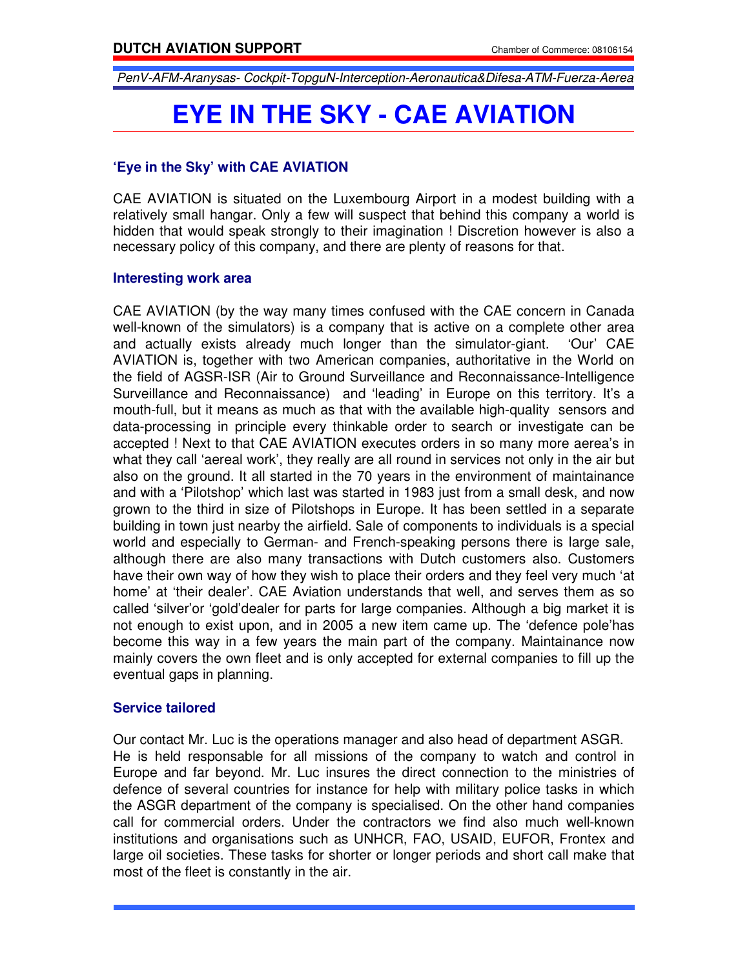PenV-AFM-Aranysas- Cockpit-TopguN-Interception-Aeronautica&Difesa-ATM-Fuerza-Aerea

# **EYE IN THE SKY - CAE AVIATION**

# **'Eye in the Sky' with CAE AVIATION**

CAE AVIATION is situated on the Luxembourg Airport in a modest building with a relatively small hangar. Only a few will suspect that behind this company a world is hidden that would speak strongly to their imagination ! Discretion however is also a necessary policy of this company, and there are plenty of reasons for that.

#### **Interesting work area**

CAE AVIATION (by the way many times confused with the CAE concern in Canada well-known of the simulators) is a company that is active on a complete other area and actually exists already much longer than the simulator-giant. 'Our' CAE AVIATION is, together with two American companies, authoritative in the World on the field of AGSR-ISR (Air to Ground Surveillance and Reconnaissance-Intelligence Surveillance and Reconnaissance) and 'leading' in Europe on this territory. It's a mouth-full, but it means as much as that with the available high-quality sensors and data-processing in principle every thinkable order to search or investigate can be accepted ! Next to that CAE AVIATION executes orders in so many more aerea's in what they call 'aereal work', they really are all round in services not only in the air but also on the ground. It all started in the 70 years in the environment of maintainance and with a 'Pilotshop' which last was started in 1983 just from a small desk, and now grown to the third in size of Pilotshops in Europe. It has been settled in a separate building in town just nearby the airfield. Sale of components to individuals is a special world and especially to German- and French-speaking persons there is large sale, although there are also many transactions with Dutch customers also. Customers have their own way of how they wish to place their orders and they feel very much 'at home' at 'their dealer'. CAE Aviation understands that well, and serves them as so called 'silver'or 'gold'dealer for parts for large companies. Although a big market it is not enough to exist upon, and in 2005 a new item came up. The 'defence pole'has become this way in a few years the main part of the company. Maintainance now mainly covers the own fleet and is only accepted for external companies to fill up the eventual gaps in planning.

## **Service tailored**

Our contact Mr. Luc is the operations manager and also head of department ASGR. He is held responsable for all missions of the company to watch and control in Europe and far beyond. Mr. Luc insures the direct connection to the ministries of defence of several countries for instance for help with military police tasks in which the ASGR department of the company is specialised. On the other hand companies call for commercial orders. Under the contractors we find also much well-known institutions and organisations such as UNHCR, FAO, USAID, EUFOR, Frontex and large oil societies. These tasks for shorter or longer periods and short call make that most of the fleet is constantly in the air.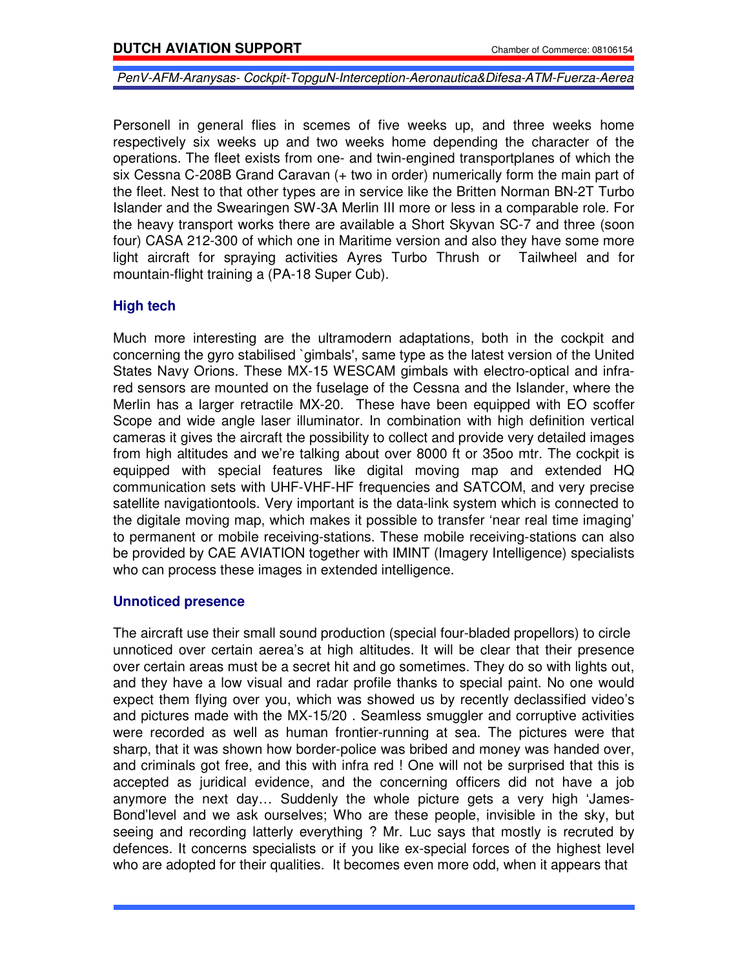PenV-AFM-Aranysas- Cockpit-TopguN-Interception-Aeronautica&Difesa-ATM-Fuerza-Aerea

Personell in general flies in scemes of five weeks up, and three weeks home respectively six weeks up and two weeks home depending the character of the operations. The fleet exists from one- and twin-engined transportplanes of which the six Cessna C-208B Grand Caravan (+ two in order) numerically form the main part of the fleet. Nest to that other types are in service like the Britten Norman BN-2T Turbo Islander and the Swearingen SW-3A Merlin III more or less in a comparable role. For the heavy transport works there are available a Short Skyvan SC-7 and three (soon four) CASA 212-300 of which one in Maritime version and also they have some more light aircraft for spraying activities Ayres Turbo Thrush or Tailwheel and for mountain-flight training a (PA-18 Super Cub).

## **High tech**

Much more interesting are the ultramodern adaptations, both in the cockpit and concerning the gyro stabilised `gimbals', same type as the latest version of the United States Navy Orions. These MX-15 WESCAM gimbals with electro-optical and infrared sensors are mounted on the fuselage of the Cessna and the Islander, where the Merlin has a larger retractile MX-20. These have been equipped with EO scoffer Scope and wide angle laser illuminator. In combination with high definition vertical cameras it gives the aircraft the possibility to collect and provide very detailed images from high altitudes and we're talking about over 8000 ft or 35oo mtr. The cockpit is equipped with special features like digital moving map and extended HQ communication sets with UHF-VHF-HF frequencies and SATCOM, and very precise satellite navigationtools. Very important is the data-link system which is connected to the digitale moving map, which makes it possible to transfer 'near real time imaging' to permanent or mobile receiving-stations. These mobile receiving-stations can also be provided by CAE AVIATION together with IMINT (Imagery Intelligence) specialists who can process these images in extended intelligence.

## **Unnoticed presence**

The aircraft use their small sound production (special four-bladed propellors) to circle unnoticed over certain aerea's at high altitudes. It will be clear that their presence over certain areas must be a secret hit and go sometimes. They do so with lights out, and they have a low visual and radar profile thanks to special paint. No one would expect them flying over you, which was showed us by recently declassified video's and pictures made with the MX-15/20 . Seamless smuggler and corruptive activities were recorded as well as human frontier-running at sea. The pictures were that sharp, that it was shown how border-police was bribed and money was handed over, and criminals got free, and this with infra red ! One will not be surprised that this is accepted as juridical evidence, and the concerning officers did not have a job anymore the next day… Suddenly the whole picture gets a very high 'James-Bond'level and we ask ourselves; Who are these people, invisible in the sky, but seeing and recording latterly everything ? Mr. Luc says that mostly is recruted by defences. It concerns specialists or if you like ex-special forces of the highest level who are adopted for their qualities. It becomes even more odd, when it appears that